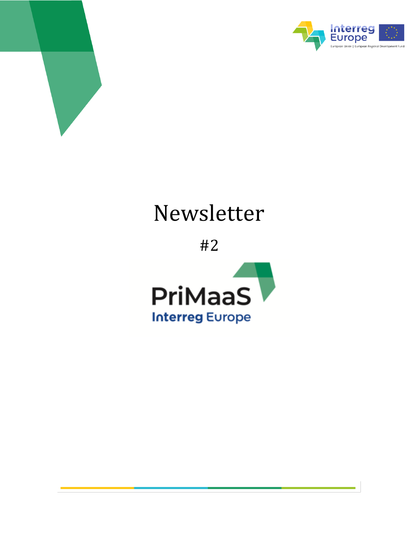



*Newsletter n.1 – June 2020*

# Newsletter

#2

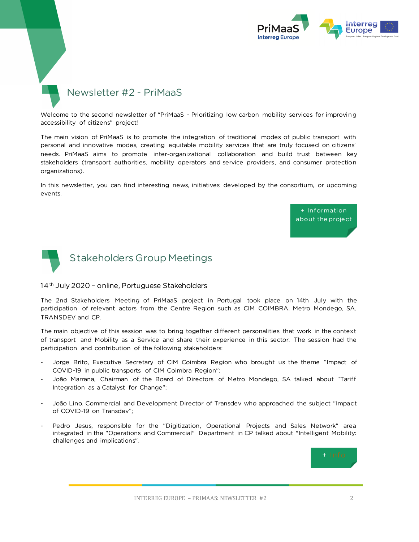

## Newsletter #2 - PriMaaS

Welcome to the second newsletter of "PriMaaS - Prioritizing low carbon mobility services for improving accessibility of citizens" project!

The main vision of PriMaaS is to promote the integration of traditional modes of public transport with personal and innovative modes, creating equitable mobility services that are truly focused on citizens' needs. PriMaaS aims to promote inter-organizational collaboration and build trust between key stakeholders (transport authorities, mobility operators and service providers, and consumer protection organizations).

In this newsletter, you can find interesting news, initiatives developed by the consortium, or upcoming events.





### 14<sup>th</sup> July 2020 - online, Portuguese Stakeholders

The 2nd Stakeholders Meeting of PriMaaS project in Portugal took place on 14th July with the participation of relevant actors from the Centre Region such as CIM COIMBRA, Metro Mondego, SA, TRANSDEV and CP.

The main objective of this session was to bring together different personalities that work in the context of transport and Mobility as a Service and share their experience in this sector. The session had the participation and contribution of the following stakeholders:

- Jorge Brito, Executive Secretary of CIM Coimbra Region who brought us the theme "Impact of COVID-19 in public transports of CIM Coimbra Region";
- João Marrana, Chairman of the Board of Directors of Metro Mondego, SA talked about "Tariff Integration as a Catalyst for Change";
- João Lino, Commercial and Development Director of Transdev who approached the subject "Impact of COVID-19 on Transdev";
- Pedro Jesus, responsible for the "Digitization, Operational Projects and Sales Network" area integrated in the "Operations and Commercial" Department in CP talked about "Intelligent Mobility: challenges and implications".

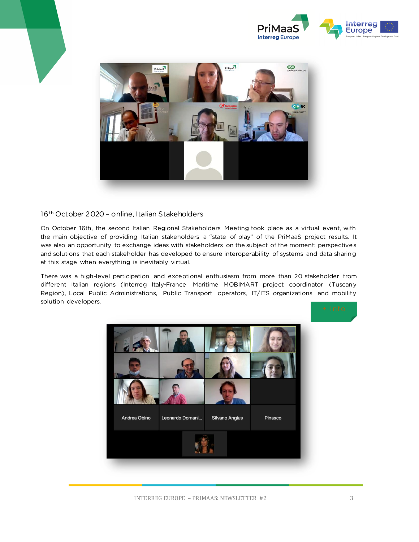



### 16th October 2020 – online, Italian Stakeholders

On October 16th, the second Italian Regional Stakeholders Meeting took place as a virtual event, with the main objective of providing Italian stakeholders a "state of play" of the PriMaaS project results. It was also an opportunity to exchange ideas with stakeholders on the subject of the moment: perspectives and solutions that each stakeholder has developed to ensure interoperability of systems and data sharing at this stage when everything is inevitably virtual.

There was a high-level participation and exceptional enthusiasm from more than 20 stakeholder from different Italian regions (Interreg Italy-France Maritime MOBIMART project coordinator (Tuscany Region), Local Public Administrations, Public Transport operators, IT/ITS organizations and mobility solution developers.

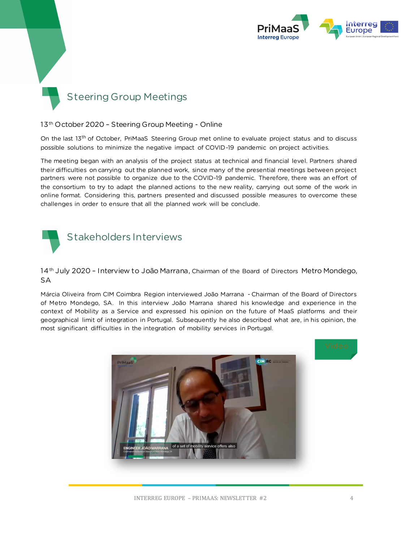

## Steering Group Meetings

## 13th October 2020 – Steering Group Meeting - Online

On the last 13<sup>th</sup> of October, PriMaaS Steering Group met online to evaluate project status and to discuss possible solutions to minimize the negative impact of COVID-19 pandemic on project activities.

The meeting began with an analysis of the project status at technical and financial level. Partners shared their difficulties on carrying out the planned work, since many of the presential meetings between project partners were not possible to organize due to the COVID-19 pandemic. Therefore, there was an effort of the consortium to try to adapt the planned actions to the new reality, carrying out some of the work in online format. Considering this, partners presented and discussed possible measures to overcome these challenges in order to ensure that all the planned work will be conclude.



14<sup>th</sup> July 2020 - Interview to João Marrana, Chairman of the Board of Directors Metro Mondego, SA

Márcia Oliveira from CIM Coimbra Region interviewed João Marrana - Chairman of the Board of Directors of Metro Mondego, SA. In this interview João Marrana shared his knowledge and experience in the context of Mobility as a Service and expressed his opinion on the future of MaaS platforms and their geographical limit of integration in Portugal. Subsequently he also described what are, in his opinion, the most significant difficulties in the integration of mobility services in Portugal.

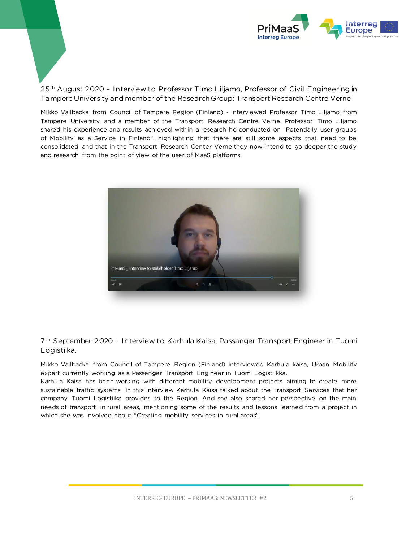

25<sup>th</sup> August 2020 - Interview to Professor Timo Liljamo, Professor of Civil Engineering in Tampere University and member of the Research Group: Transport Research Centre Verne

Mikko Vallbacka from Council of Tampere Region (Finland) - interviewed Professor Timo Liljamo from Tampere University and a member of the Transport Research Centre Verne. Professor Timo Liljamo shared his experience and results achieved within a research he conducted on "Potentially user groups of Mobility as a Service in Finland", highlighting that there are still some aspects that need to be consolidated and that in the Transport Research Center Verne they now intend to go deeper the study and research from the point of view of the user of MaaS platforms.



7 th September 2020 – Interview to Karhula Kaisa, Passanger Transport Engineer in Tuomi Logistiika.

Mikko Vallbacka from Council of Tampere Region (Finland) interviewed Karhula kaisa, Urban Mobility expert currently working as a Passenger Transport Engineer in Tuomi Logistiikka.

Karhula Kaisa has been working with different mobility development projects aiming to create more sustainable traffic systems. In this interview Karhula Kaisa talked about the Transport Services that her company Tuomi Logistiika provides to the Region. And she also shared her perspective on the main needs of transport in rural areas, mentioning some of the results and lessons learned from a project in which she was involved about "Creating mobility services in rural areas".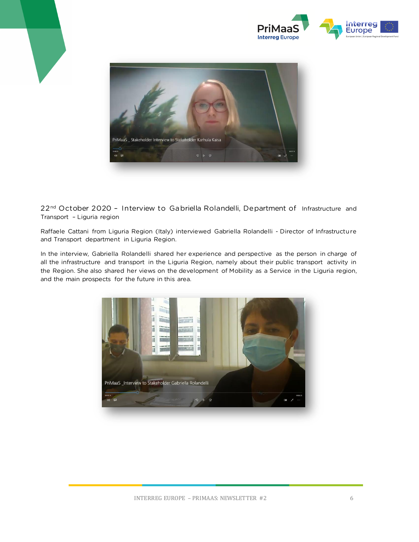



22<sup>nd</sup> October 2020 - Interview to Gabriella Rolandelli, Department of Infrastructure and Transport – Liguria region

Raffaele Cattani from Liguria Region (Italy) interviewed Gabriella Rolandelli - Director of Infrastructure and Transport department in Liguria Region.

In the interview, Gabriella Rolandelli shared her experience and perspective as the person in charge of all the infrastructure and transport in the Liguria Region, namely about their public transport activity in the Region. She also shared her views on the development of Mobility as a Service in the Liguria region, and the main prospects for the future in this area.

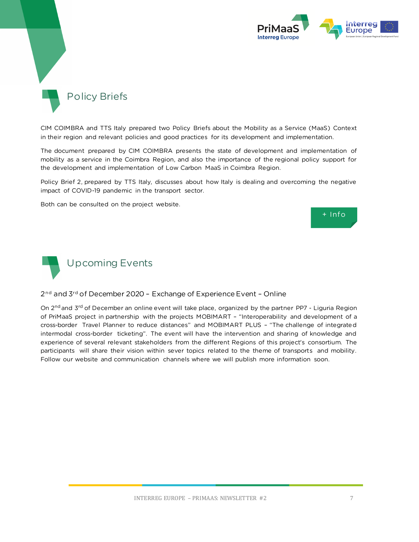



CIM COIMBRA and TTS Italy prepared two Policy Briefs about the Mobility as a Service (MaaS) Context in their region and relevant policies and good practices for its development and implementation.

The document prepared by CIM COIMBRA presents the state of development and implementation of mobility as a service in the Coimbra Region, and also the importance of the regional policy support for the development and implementation of Low Carbon MaaS in Coimbra Region.

Policy Brief 2, prepared by TTS Italy, discusses about how Italy is dealing and overcoming the negative impact of COVID-19 pandemic in the transport sector.

Both can be consulted on the project website.





#### 2 nd and 3rd of December 2020 – Exchange of Experience Event – Online

On 2<sup>nd</sup> and 3<sup>rd</sup> of December an online event will take place, organized by the partner PP7 - Liguria Region of PriMaaS project in partnership with the projects MOBIMART – "Interoperability and development of a cross-border Travel Planner to reduce distances" and MOBIMART PLUS – "The challenge of integrated intermodal cross-border ticketing". The event will have the intervention and sharing of knowledge and experience of several relevant stakeholders from the different Regions of this project's consortium. The participants will share their vision within sever topics related to the theme of transports and mobility. Follow our website and communication channels where we will publish more information soon.